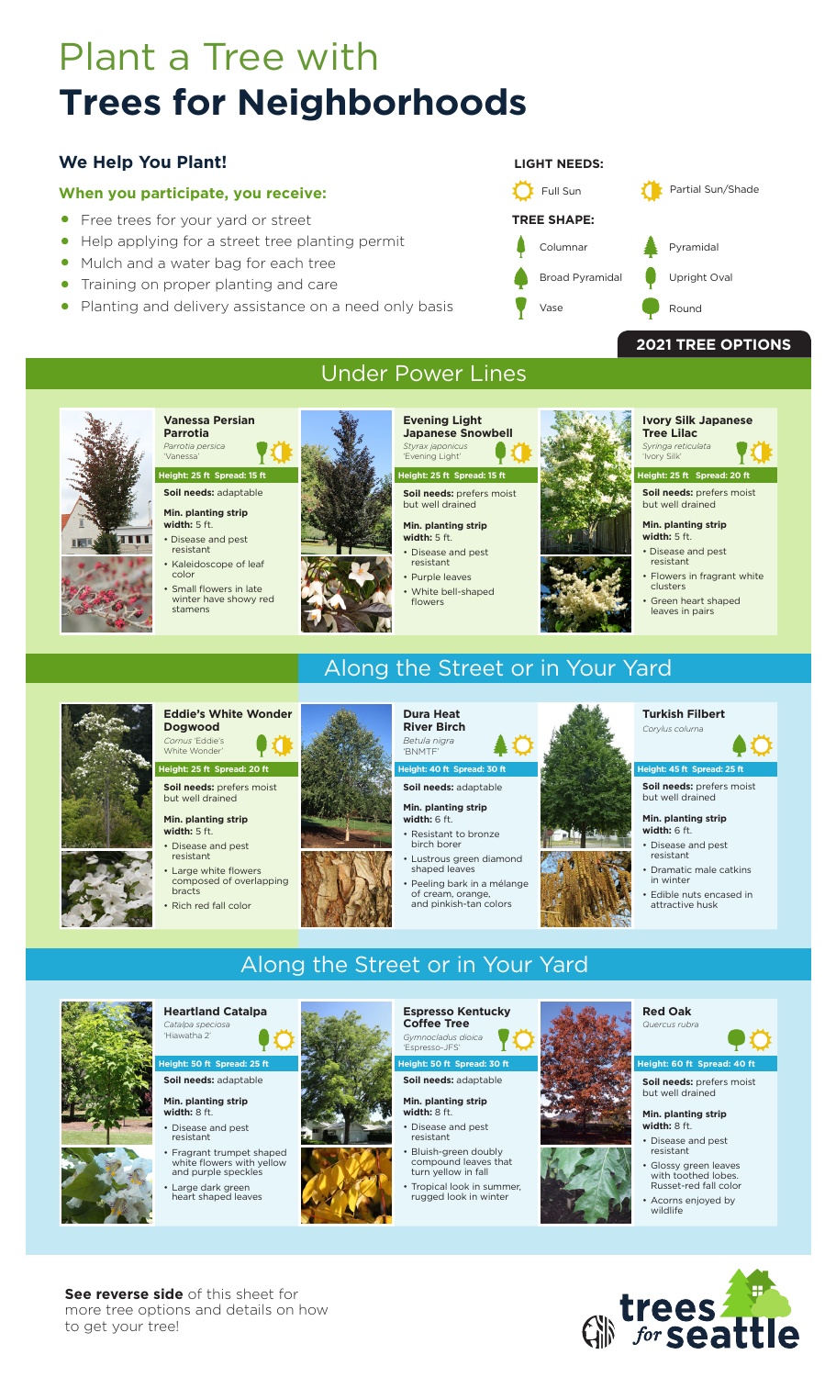# Plant a Tree with **Trees for Neighborhoods**

### **We Help You Plant!**

### **When you participate, you receive:**

- Free trees for your yard or street
- Help applying for a street tree planting permit<br>• Mulch and a water hag for each tree
- Mulch and a water bag for each tree
- Training on proper planting and care<br>• Planting and delivery assistance on a
- Planting and delivery assistance on a need only basis



### **2021 TREE OPTIONS**



**Vanessa Persian Parrotia** 

#### 'Vanessa' **Height: 25 ft Spread: 15 ft**

**Soil needs:** adaptable

#### **Min. planting strip width:** 5 ft.

*Parrotia persica*

- Disease and pest
- resistant • Kaleidoscope of leaf
- color
- Small flowers in late winter have showy red stamens



### Under Power Lines

**Evening Light Japanese Snowbell**  *Styrax japonicus* 

#### 'Evening Light' **Height: 25 ft Spread: 15 ft**

**Soil needs:** prefers moist but well drained

#### **Min. planting strip width:** 5 ft. Disease and pest

resistant • Purple leaves

- White bell-shaped
- flowers

#### **Tree Lilac** *Syringa reticulata* 'Ivory Silk'

**Soil needs:** prefers moist **Height: 25 ft Spread: 20 ft**

**Ivory Silk Japanese** 

### but well drained

#### **Min. planting strip width:** 5 ft.

- Disease and pest resistant
- Flowers in fragrant white clusters Green heart shaped leaves in pairs

#### **Eddie's White Wonder Dogwood** *Cornus* 'Eddie's White Wonder

**Soil needs:** prefers moist but well drained **Height: 25 ft Spread: 20 ft**

#### **Min. planting strip width:** 5 ft.

• Disease and pest resistant

• Rich red fall color

• Large white flowers composed of overlapping bracts



## Along the Street or in Your Yard



#### **Soil needs:** adaptable

**Min. planting strip width:** 6 ft.

• Resistant to bronze birch borer

Along the Street or in Your Yard

- Lustrous green diamond shaped leaves
- Peeling bark in a mélange of cream, orange,<br>and pinkish-tan colors
- 

#### **Turkish Filbert**  $\frac{1}{2}$

**Soil needs:** prefers moist but well drained **Abi** 45 ft Spread: 25

#### **Min. planting strip width:** 6 ft.

- Disease and pest resistant
- Dramatic male catkins winter
- Edible nuts encased in attractive husk



#### **Heartland Catalpa**  *Catalpa spec* 'Hiawatha 2'

**Soil needs:** adaptable **ht: 50 ft Spread: 25** 

#### **Min. planting strip width:** 8 ft.

- Disease and pest resistant
- Fragrant trumpet shaped white flowers with yellow and purple speckles
- Large dark green heart shaped leaves
- 



#### **Espresso Kentucky Coffee Tree**  *Gymnocladus dioica*  'Espresso-JFS' **ht: 50 ft Spread: 30**

**Soil needs:** adaptable

#### **Min. planting strip width:** 8 ft.

- Disease and pest resistant • Bluish-green doubly
- compound leaves that turn yellow in fall • Tropical look in summer
- rugged look in winter



### **Red Oak**  *Quercus rubra*



**Soil needs:** prefers moist but well drained

#### **Min. planting strip width:** 8 ft.

- Disease and pest resistant
- Glossy green leaves with toothed lobes. Russet-red fall color
- Acorns enjoyed by wildlife



**See reverse side** of this sheet for more tree options and details on how to get your tree!